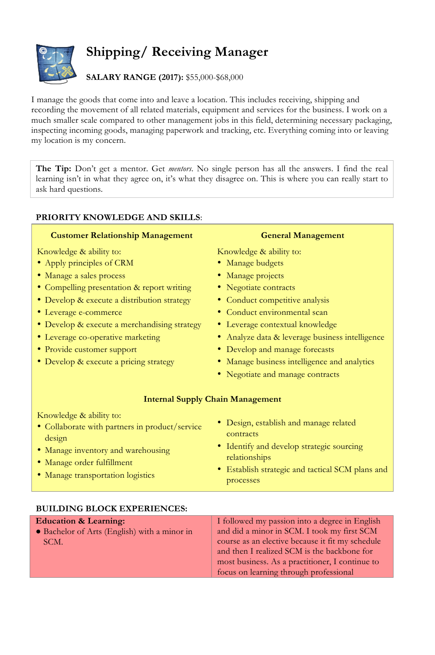# **Shipping/ Receiving Manager**

## **SALARY RANGE (2017):** \$55,000-\$68,000

I manage the goods that come into and leave a location. This includes receiving, shipping and recording the movement of all related materials, equipment and services for the business. I work on a much smaller scale compared to other management jobs in this field, determining necessary packaging, inspecting incoming goods, managing paperwork and tracking, etc. Everything coming into or leaving my location is my concern.

**The Tip:** Don't get a mentor. Get *mentors*. No single person has all the answers. I find the real learning isn't in what they agree on, it's what they disagree on. This is where you can really start to ask hard questions.

### **PRIORITY KNOWLEDGE AND SKILLS**:

#### **Customer Relationship Management**

Knowledge & ability to:

- Apply principles of CRM
- Manage a sales process
- Compelling presentation & report writing
- Develop & execute a distribution strategy
- Leverage e-commerce
- Develop & execute a merchandising strategy
- Leverage co-operative marketing
- Provide customer support
- Develop & execute a pricing strategy

#### **General Management**

Knowledge & ability to:

- Manage budgets
- Manage projects
- Negotiate contracts
- Conduct competitive analysis
- Conduct environmental scan
- Leverage contextual knowledge
- Analyze data & leverage business intelligence
- Develop and manage forecasts
- Manage business intelligence and analytics
- Negotiate and manage contracts

#### **Internal Supply Chain Management**

Knowledge & ability to:

- Collaborate with partners in product/service design
- Manage inventory and warehousing
- Manage order fulfillment
- Manage transportation logistics
- Design, establish and manage related contracts
- Identify and develop strategic sourcing relationships
- Establish strategic and tactical SCM plans and processes

#### **BUILDING BLOCK EXPERIENCES:**

| <b>Education &amp; Learning:</b>             | I followed my passion into a degree in English   |
|----------------------------------------------|--------------------------------------------------|
| • Bachelor of Arts (English) with a minor in | and did a minor in SCM. I took my first SCM      |
| SCM.                                         | course as an elective because it fit my schedule |
|                                              | and then I realized SCM is the backbone for      |
|                                              | most business. As a practitioner, I continue to  |
|                                              | focus on learning through professional           |